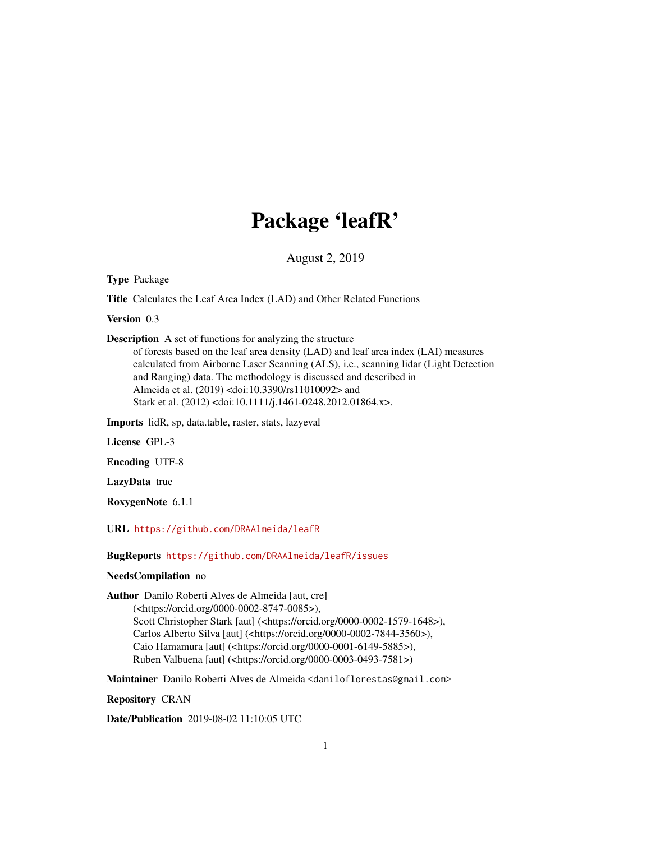## Package 'leafR'

August 2, 2019

Type Package

Title Calculates the Leaf Area Index (LAD) and Other Related Functions

Version 0.3

Description A set of functions for analyzing the structure

of forests based on the leaf area density (LAD) and leaf area index (LAI) measures calculated from Airborne Laser Scanning (ALS), i.e., scanning lidar (Light Detection and Ranging) data. The methodology is discussed and described in Almeida et al. (2019) <doi:10.3390/rs11010092> and Stark et al. (2012) <doi:10.1111/j.1461-0248.2012.01864.x>.

Imports lidR, sp, data.table, raster, stats, lazyeval

License GPL-3

Encoding UTF-8

LazyData true

RoxygenNote 6.1.1

URL <https://github.com/DRAAlmeida/leafR>

BugReports <https://github.com/DRAAlmeida/leafR/issues>

#### NeedsCompilation no

Author Danilo Roberti Alves de Almeida [aut, cre]

(<https://orcid.org/0000-0002-8747-0085>), Scott Christopher Stark [aut] (<https://orcid.org/0000-0002-1579-1648>), Carlos Alberto Silva [aut] (<https://orcid.org/0000-0002-7844-3560>), Caio Hamamura [aut] (<https://orcid.org/0000-0001-6149-5885>), Ruben Valbuena [aut] (<https://orcid.org/0000-0003-0493-7581>)

Maintainer Danilo Roberti Alves de Almeida <daniloflorestas@gmail.com>

Repository CRAN

Date/Publication 2019-08-02 11:10:05 UTC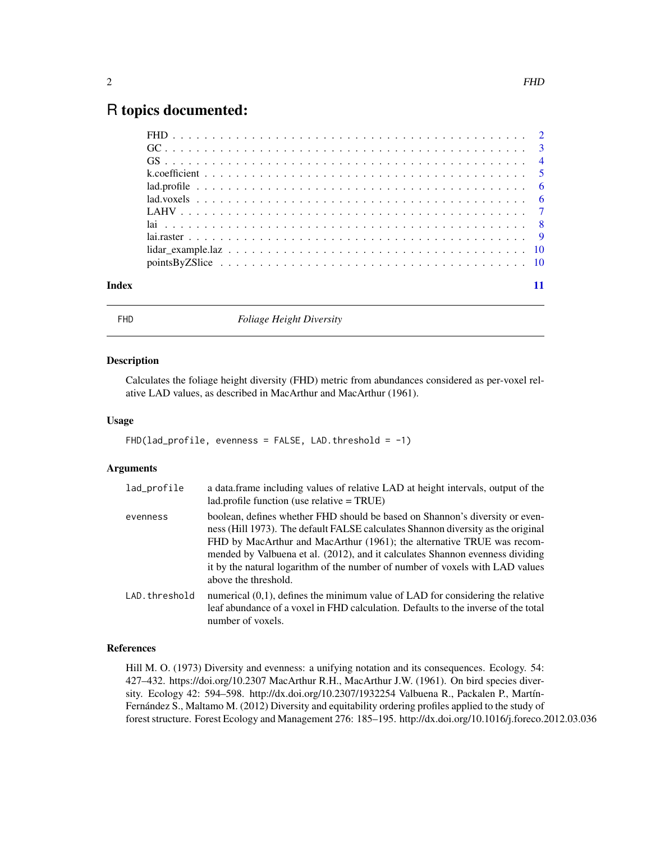### <span id="page-1-0"></span>R topics documented:

FHD *Foliage Height Diversity*

#### Description

Calculates the foliage height diversity (FHD) metric from abundances considered as per-voxel relative LAD values, as described in MacArthur and MacArthur (1961).

#### Usage

```
FHD(lad_probile, evenness = FALSE, LAD.threshold = -1)
```
#### Arguments

| lad_profile   | a data.frame including values of relative LAD at height intervals, output of the<br>$lad.$ profile function (use relative $= TRUE$ )                                                                                                                                                                                                                                                                                                 |
|---------------|--------------------------------------------------------------------------------------------------------------------------------------------------------------------------------------------------------------------------------------------------------------------------------------------------------------------------------------------------------------------------------------------------------------------------------------|
| evenness      | boolean, defines whether FHD should be based on Shannon's diversity or even-<br>ness (Hill 1973). The default FALSE calculates Shannon diversity as the original<br>FHD by MacArthur and MacArthur (1961); the alternative TRUE was recom-<br>mended by Valbuena et al. (2012), and it calculates Shannon evenness dividing<br>it by the natural logarithm of the number of number of voxels with LAD values<br>above the threshold. |
| LAD.threshold | numerical $(0,1)$ , defines the minimum value of LAD for considering the relative<br>leaf abundance of a voxel in FHD calculation. Defaults to the inverse of the total<br>number of voxels.                                                                                                                                                                                                                                         |

#### References

Hill M. O. (1973) Diversity and evenness: a unifying notation and its consequences. Ecology. 54: 427–432. https://doi.org/10.2307 MacArthur R.H., MacArthur J.W. (1961). On bird species diversity. Ecology 42: 594–598. http://dx.doi.org/10.2307/1932254 Valbuena R., Packalen P., Martín-Fernández S., Maltamo M. (2012) Diversity and equitability ordering profiles applied to the study of forest structure. Forest Ecology and Management 276: 185–195. http://dx.doi.org/10.1016/j.foreco.2012.03.036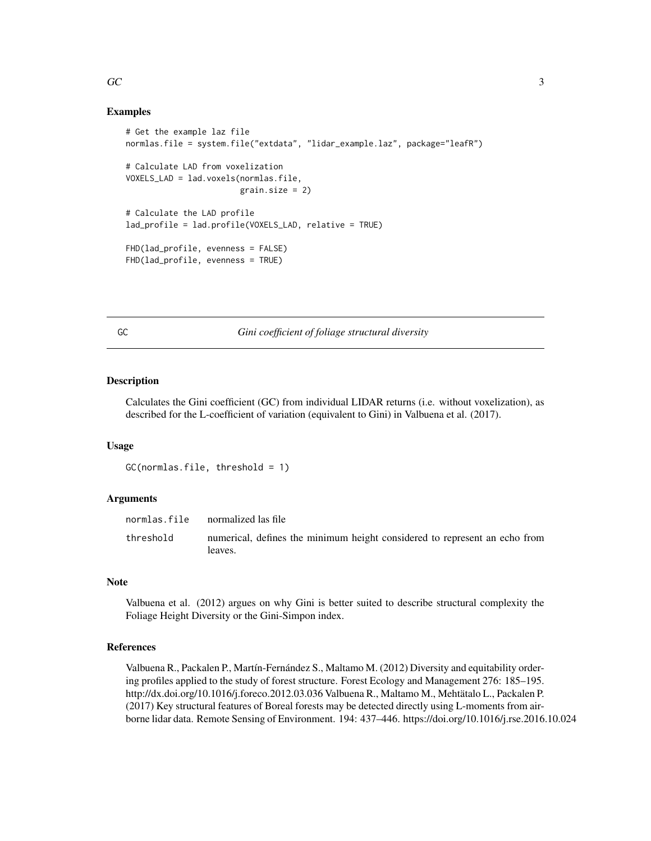#### <span id="page-2-0"></span> $\overline{GC}$  3

#### Examples

```
# Get the example laz file
normlas.file = system.file("extdata", "lidar_example.laz", package="leafR")
# Calculate LAD from voxelization
VOXELS_LAD = lad.voxels(normlas.file,
                        grain.size = 2)# Calculate the LAD profile
lad_profile = lad.profile(VOXELS_LAD, relative = TRUE)
FHD(lad_profile, evenness = FALSE)
FHD(lad_profile, evenness = TRUE)
```
GC *Gini coefficient of foliage structural diversity*

#### Description

Calculates the Gini coefficient (GC) from individual LIDAR returns (i.e. without voxelization), as described for the L-coefficient of variation (equivalent to Gini) in Valbuena et al. (2017).

#### Usage

```
GC(normlas.file, threshold = 1)
```
#### Arguments

|           | normlas.file normalized las file                                                      |
|-----------|---------------------------------------------------------------------------------------|
| threshold | numerical, defines the minimum height considered to represent an echo from<br>leaves. |

#### Note

Valbuena et al. (2012) argues on why Gini is better suited to describe structural complexity the Foliage Height Diversity or the Gini-Simpon index.

#### References

Valbuena R., Packalen P., Martín-Fernández S., Maltamo M. (2012) Diversity and equitability ordering profiles applied to the study of forest structure. Forest Ecology and Management 276: 185–195. http://dx.doi.org/10.1016/j.foreco.2012.03.036 Valbuena R., Maltamo M., Mehtätalo L., Packalen P. (2017) Key structural features of Boreal forests may be detected directly using L-moments from airborne lidar data. Remote Sensing of Environment. 194: 437–446. https://doi.org/10.1016/j.rse.2016.10.024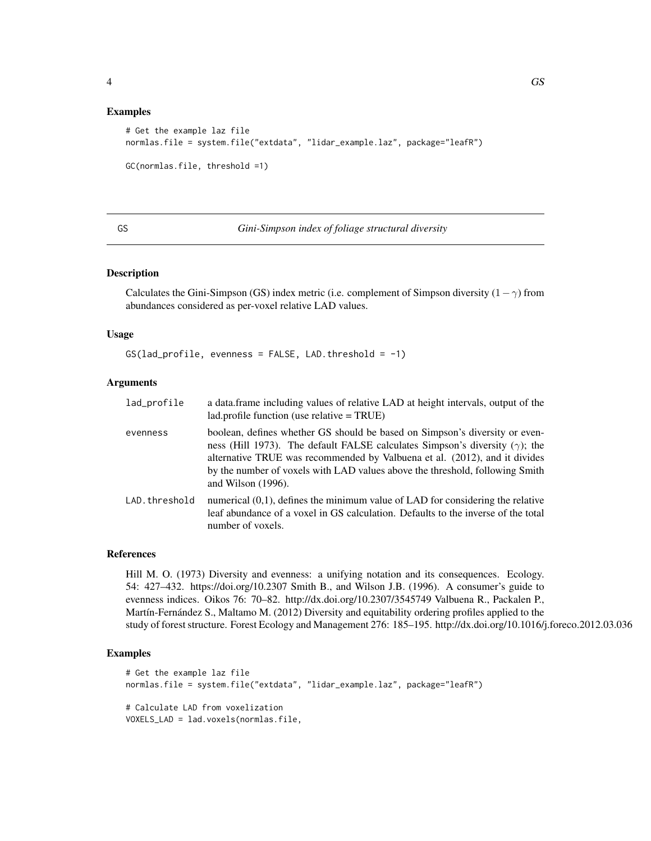#### <span id="page-3-0"></span>Examples

```
# Get the example laz file
normlas.file = system.file("extdata", "lidar_example.laz", package="leafR")
GC(normlas.file, threshold =1)
```
GS *Gini-Simpson index of foliage structural diversity*

#### Description

Calculates the Gini-Simpson (GS) index metric (i.e. complement of Simpson diversity  $(1-\gamma)$  from abundances considered as per-voxel relative LAD values.

#### Usage

GS(lad\_profile, evenness =  $FALSE$ , LAD.threshold =  $-1$ )

#### Arguments

| lad_profile   | a data.frame including values of relative LAD at height intervals, output of the<br>$lad.$ profile function (use relative $= TRUE$ )                                                                                                                                                                                                                       |
|---------------|------------------------------------------------------------------------------------------------------------------------------------------------------------------------------------------------------------------------------------------------------------------------------------------------------------------------------------------------------------|
| evenness      | boolean, defines whether GS should be based on Simpson's diversity or even-<br>ness (Hill 1973). The default FALSE calculates Simpson's diversity ( $\gamma$ ); the<br>alternative TRUE was recommended by Valbuena et al. (2012), and it divides<br>by the number of voxels with LAD values above the threshold, following Smith<br>and Wilson $(1996)$ . |
| LAD.threshold | numerical $(0,1)$ , defines the minimum value of LAD for considering the relative<br>leaf abundance of a voxel in GS calculation. Defaults to the inverse of the total<br>number of voxels.                                                                                                                                                                |

#### References

Hill M. O. (1973) Diversity and evenness: a unifying notation and its consequences. Ecology. 54: 427–432. https://doi.org/10.2307 Smith B., and Wilson J.B. (1996). A consumer's guide to evenness indices. Oikos 76: 70–82. http://dx.doi.org/10.2307/3545749 Valbuena R., Packalen P., Martín-Fernández S., Maltamo M. (2012) Diversity and equitability ordering profiles applied to the study of forest structure. Forest Ecology and Management 276: 185–195. http://dx.doi.org/10.1016/j.foreco.2012.03.036

```
# Get the example laz file
normlas.file = system.file("extdata", "lidar_example.laz", package="leafR")
# Calculate LAD from voxelization
VOXELS_LAD = lad.voxels(normlas.file,
```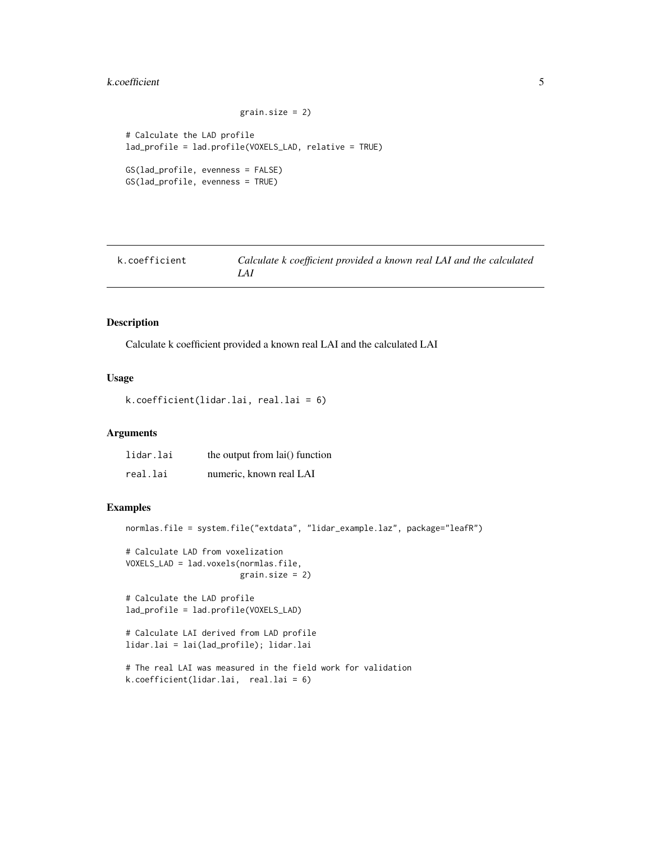#### <span id="page-4-0"></span>k.coefficient 5

```
grain.size = 2)# Calculate the LAD profile
lad_profile = lad.profile(VOXELS_LAD, relative = TRUE)
GS(lad_profile, evenness = FALSE)
GS(lad_profile, evenness = TRUE)
```

| k.coefficient | Calculate k coefficient provided a known real LAI and the calculated |
|---------------|----------------------------------------------------------------------|
|               | LA I                                                                 |

#### Description

Calculate k coefficient provided a known real LAI and the calculated LAI

#### Usage

```
k.coefficient(lidar.lai, real.lai = 6)
```
#### Arguments

| lidar.lai | the output from lai() function |
|-----------|--------------------------------|
| real.lai  | numeric, known real LAI        |

```
normlas.file = system.file("extdata", "lidar_example.laz", package="leafR")
# Calculate LAD from voxelization
VOXELS_LAD = lad.voxels(normlas.file,
                       grain.size = 2)
# Calculate the LAD profile
lad_profile = lad.profile(VOXELS_LAD)
# Calculate LAI derived from LAD profile
lidar.lai = lai(lad_profile); lidar.lai
# The real LAI was measured in the field work for validation
k.coefficient(lidar.lai, real.lai = 6)
```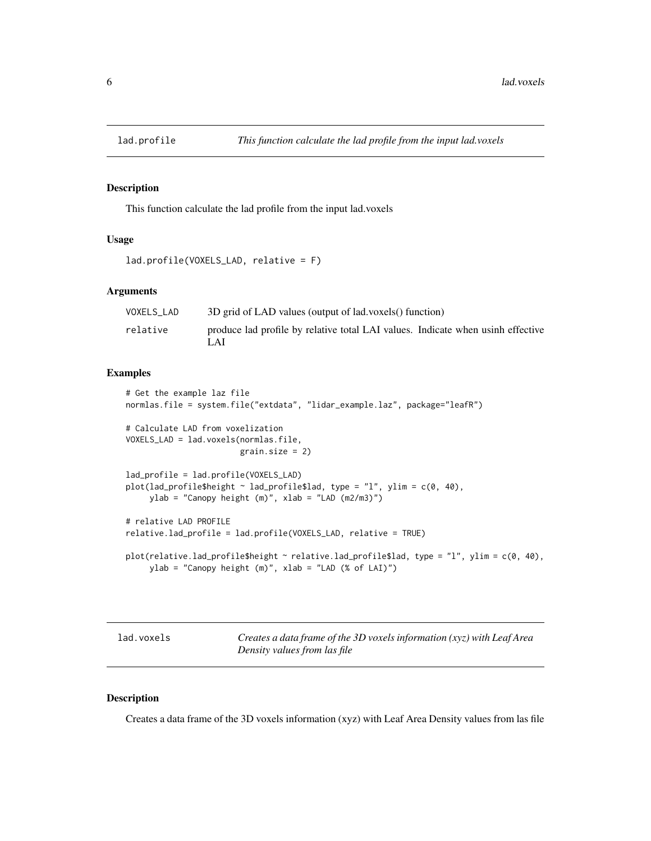<span id="page-5-0"></span>

#### Description

This function calculate the lad profile from the input lad.voxels

#### Usage

```
lad.profile(VOXELS_LAD, relative = F)
```
#### Arguments

| VOXELS LAD | 3D grid of LAD values (output of lad.voxels) function)                                 |
|------------|----------------------------------------------------------------------------------------|
| relative   | produce lad profile by relative total LAI values. Indicate when usinh effective<br>LAI |

#### Examples

```
# Get the example laz file
normlas.file = system.file("extdata", "lidar_example.laz", package="leafR")
# Calculate LAD from voxelization
VOXELS_LAD = lad.voxels(normlas.file,
                        grain.size = 2)
lad_profile = lad.profile(VOXELS_LAD)
plot(lad_profile$height \sim lad_profile$lad, type = "l", ylim = c(0, 40),
     ylab = "Canopy height (m)", xlab = "LAD (m2/m3)")
# relative LAD PROFILE
relative.lad_profile = lad.profile(VOXELS_LAD, relative = TRUE)
plot(relative.lad_profile$height \sim relative.lad_profile$lad, type = "1", ylim = c(0, 40),
     ylab = "Canopy height (m)", xlab = "LAD (% of LAI)")
```
lad.voxels *Creates a data frame of the 3D voxels information (xyz) with Leaf Area Density values from las file*

#### Description

Creates a data frame of the 3D voxels information (xyz) with Leaf Area Density values from las file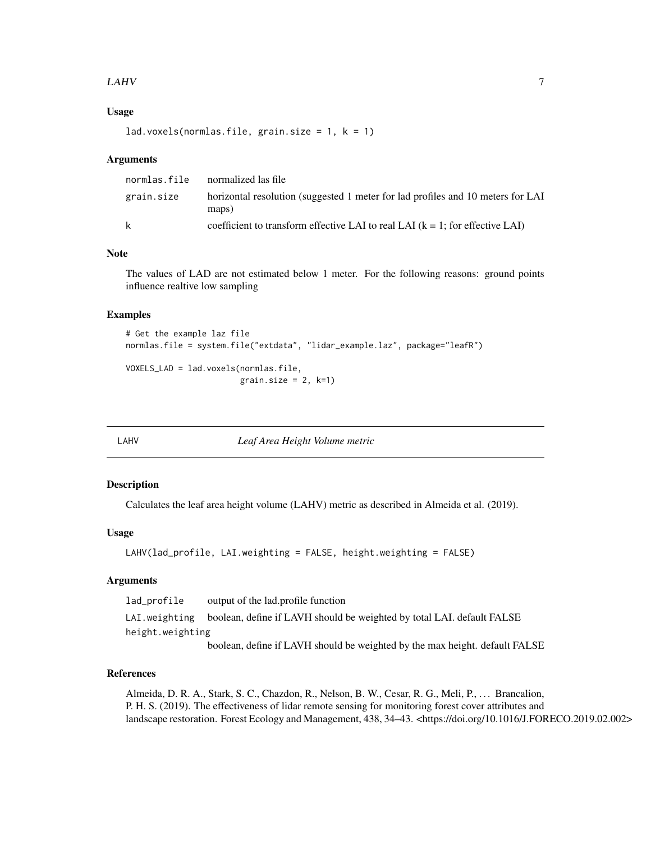#### <span id="page-6-0"></span> $LAHV$  7

#### Usage

lad.voxels(normlas.file, grain.size =  $1$ ,  $k = 1$ )

#### Arguments

|            | normlas.file normalized las file                                                         |
|------------|------------------------------------------------------------------------------------------|
| grain.size | horizontal resolution (suggested 1 meter for lad profiles and 10 meters for LAI<br>maps) |
| k          | coefficient to transform effective LAI to real LAI $(k = 1)$ ; for effective LAI         |

#### Note

The values of LAD are not estimated below 1 meter. For the following reasons: ground points influence realtive low sampling

#### Examples

```
# Get the example laz file
normlas.file = system.file("extdata", "lidar_example.laz", package="leafR")
VOXELS_LAD = lad.voxels(normlas.file,
                        grain.size = 2, k=1)
```
LAHV *Leaf Area Height Volume metric*

#### Description

Calculates the leaf area height volume (LAHV) metric as described in Almeida et al. (2019).

#### Usage

```
LAHV(lad_profile, LAI.weighting = FALSE, height.weighting = FALSE)
```
#### Arguments

lad\_profile output of the lad.profile function LAI.weighting boolean, define if LAVH should be weighted by total LAI. default FALSE height.weighting boolean, define if LAVH should be weighted by the max height. default FALSE

#### References

Almeida, D. R. A., Stark, S. C., Chazdon, R., Nelson, B. W., Cesar, R. G., Meli, P., . . . Brancalion, P. H. S. (2019). The effectiveness of lidar remote sensing for monitoring forest cover attributes and landscape restoration. Forest Ecology and Management, 438, 34–43. <https://doi.org/10.1016/J.FORECO.2019.02.002>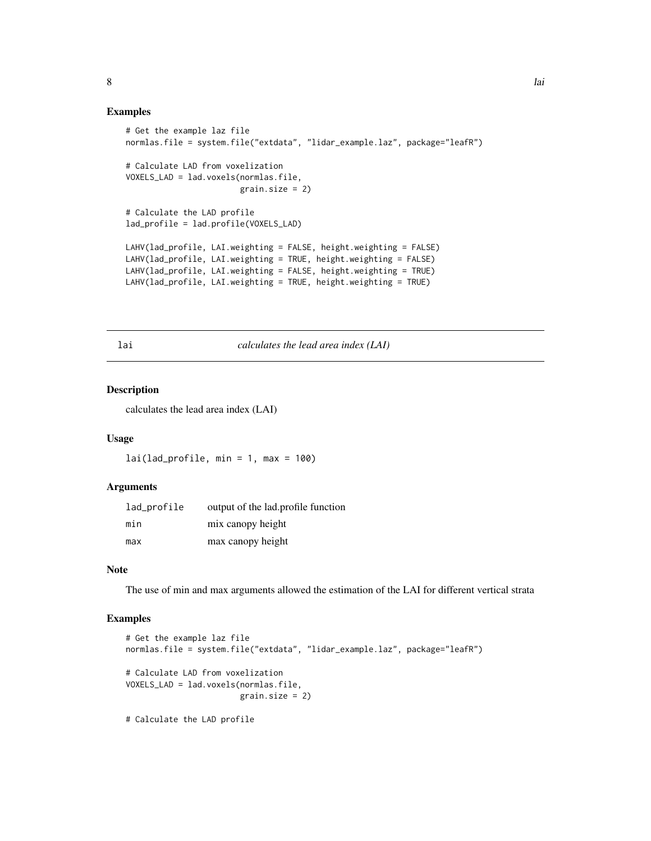#### <span id="page-7-0"></span>Examples

```
# Get the example laz file
normlas.file = system.file("extdata", "lidar_example.laz", package="leafR")
# Calculate LAD from voxelization
VOXELS_LAD = lad.voxels(normlas.file,
                       grain.size = 2)
# Calculate the LAD profile
lad_profile = lad.profile(VOXELS_LAD)
LAHV(lad_profile, LAI.weighting = FALSE, height.weighting = FALSE)
LAHV(lad_profile, LAI.weighting = TRUE, height.weighting = FALSE)
LAHV(lad_profile, LAI.weighting = FALSE, height.weighting = TRUE)
LAHV(lad_profile, LAI.weighting = TRUE, height.weighting = TRUE)
```
lai *calculates the lead area index (LAI)*

#### Description

calculates the lead area index (LAI)

#### Usage

lai(lad\_profile, min =  $1$ , max =  $100$ )

#### Arguments

| lad_profile | output of the lad.profile function |
|-------------|------------------------------------|
| min         | mix canopy height                  |
| max         | max canopy height                  |

#### Note

The use of min and max arguments allowed the estimation of the LAI for different vertical strata

```
# Get the example laz file
normlas.file = system.file("extdata", "lidar_example.laz", package="leafR")
# Calculate LAD from voxelization
VOXELS_LAD = lad.voxels(normlas.file,
                       grain.size = 2)
# Calculate the LAD profile
```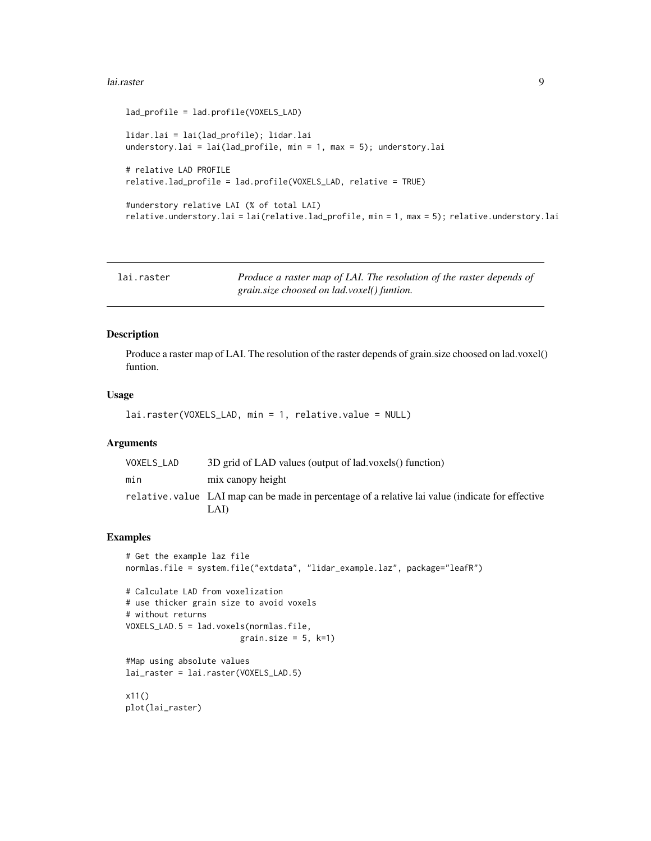#### <span id="page-8-0"></span>lai.raster 9

```
lad_profile = lad.profile(VOXELS_LAD)
lidar.lai = lai(lad_profile); lidar.lai
understory.lai = lai(lad_profile, min = 1, max = 5); understory.lai
# relative LAD PROFILE
relative.lad_profile = lad.profile(VOXELS_LAD, relative = TRUE)
#understory relative LAI (% of total LAI)
relative.understory.lai = lai(relative.lad_profile, min = 1, max = 5); relative.understory.lai
```

| lai.raster | Produce a raster map of LAI. The resolution of the raster depends of |
|------------|----------------------------------------------------------------------|
|            | grain.size choosed on lad.voxel() funtion.                           |

#### Description

Produce a raster map of LAI. The resolution of the raster depends of grain.size choosed on lad.voxel() funtion.

#### Usage

lai.raster(VOXELS\_LAD, min = 1, relative.value = NULL)

#### Arguments

| VOXELS LAD | 3D grid of LAD values (output of lad.voxels) function)                                                    |
|------------|-----------------------------------------------------------------------------------------------------------|
| min        | mix canopy height                                                                                         |
|            | relative. value LAI map can be made in percentage of a relative lai value (indicate for effective<br>LAD. |

```
# Get the example laz file
normlas.file = system.file("extdata", "lidar_example.laz", package="leafR")
# Calculate LAD from voxelization
# use thicker grain size to avoid voxels
# without returns
VOXELS_LAD.5 = lad.voxels(normlas.file,
                        grain.size = 5, k=1)
#Map using absolute values
lai_raster = lai.raster(VOXELS_LAD.5)
x11()
plot(lai_raster)
```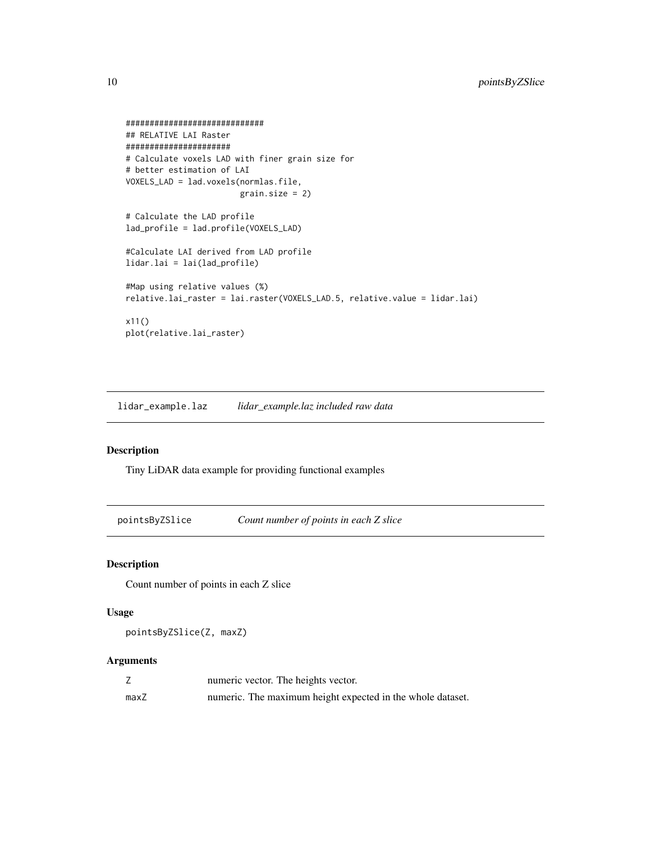```
#############################
## RELATIVE LAI Raster
######################
# Calculate voxels LAD with finer grain size for
# better estimation of LAI
VOXELS_LAD = lad.voxels(normlas.file,
                        grain.size = 2)
# Calculate the LAD profile
lad_profile = lad.profile(VOXELS_LAD)
#Calculate LAI derived from LAD profile
lidar.lai = lai(lad_profile)
#Map using relative values (%)
relative.lai_raster = lai.raster(VOXELS_LAD.5, relative.value = lidar.lai)
x11()
plot(relative.lai_raster)
```
lidar\_example.laz *lidar\_example.laz included raw data*

#### Description

Tiny LiDAR data example for providing functional examples

pointsByZSlice *Count number of points in each Z slice*

#### Description

Count number of points in each Z slice

#### Usage

pointsByZSlice(Z, maxZ)

#### Arguments

| ∠    | numeric vector. The heights vector.                        |
|------|------------------------------------------------------------|
| maxZ | numeric. The maximum height expected in the whole dataset. |